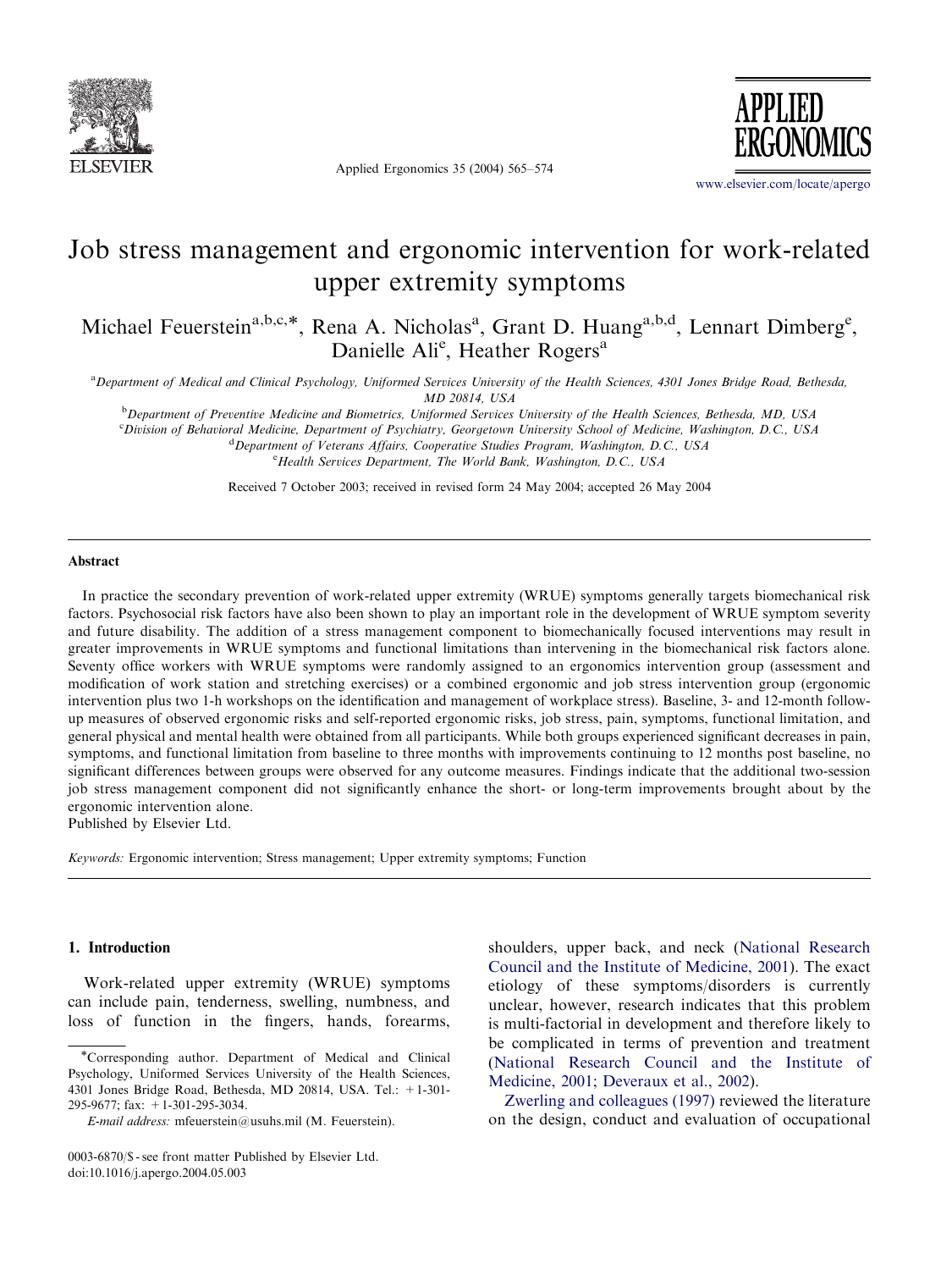

Applied Ergonomics 35 (2004) 565–574



<www.elsevier.com/locate/apergo>

## Job stress management and ergonomic intervention for work-related upper extremity symptoms

Michael Feuerstein<sup>a,b,c,\*</sup>, Rena A. Nicholas<sup>a</sup>, Grant D. Huang<sup>a,b,d</sup>, Lennart Dimberg<sup>e</sup>, Danielle Ali<sup>e</sup>, Heather Rogers<sup>a</sup>

a Department of Medical and Clinical Psychology, Uniformed Services University of the Health Sciences, 4301 Jones Bridge Road, Bethesda, MD 20814, USA

**b** Department of Preventive Medicine and Biometrics, Uniformed Services University of the Health Sciences, Bethesda, MD, USA

c Division of Behavioral Medicine, Department of Psychiatry, Georgetown University School of Medicine, Washington, D.C., USA

<sup>d</sup> Department of Veterans Affairs, Cooperative Studies Program, Washington, D.C., USA <sup>e</sup> Health Services Department, The World Bank, Washington, D.C., USA

Received 7 October 2003; received in revised form 24 May 2004; accepted 26 May 2004

## Abstract

In practice the secondary prevention of work-related upper extremity (WRUE) symptoms generally targets biomechanical risk factors. Psychosocial risk factors have also been shown to play an important role in the development of WRUE symptom severity and future disability. The addition of a stress management component to biomechanically focused interventions may result in greater improvements in WRUE symptoms and functional limitations than intervening in the biomechanical risk factors alone. Seventy office workers with WRUE symptoms were randomly assigned to an ergonomics intervention group (assessment and modification of work station and stretching exercises) or a combined ergonomic and job stress intervention group (ergonomic intervention plus two 1-h workshops on the identification and management of workplace stress). Baseline, 3- and 12-month followup measures of observed ergonomic risks and self-reported ergonomic risks, job stress, pain, symptoms, functional limitation, and general physical and mental health were obtained from all participants. While both groups experienced significant decreases in pain, symptoms, and functional limitation from baseline to three months with improvements continuing to 12 months post baseline, no significant differences between groups were observed for any outcome measures. Findings indicate that the additional two-session job stress management component did not significantly enhance the short- or long-term improvements brought about by the ergonomic intervention alone.

Published by Elsevier Ltd.

Keywords: Ergonomic intervention; Stress management; Upper extremity symptoms; Function

## 1. Introduction

Work-related upper extremity (WRUE) symptoms can include pain, tenderness, swelling, numbness, and loss of function in the fingers, hands, forearms, shoulders, upper back, and neck [\(National Research](#page--1-0) [Council and the Institute of Medicine, 2001\)](#page--1-0). The exact etiology of these symptoms/disorders is currently unclear, however, research indicates that this problem is multi-factorial in development and therefore likely to be complicated in terms of prevention and treatment ([National Research Council and the Institute of](#page--1-0) [Medicine, 2001;](#page--1-0) [Deveraux et al., 2002\)](#page--1-0).

[Zwerling and colleagues \(1997\)](#page--1-0) reviewed the literature on the design, conduct and evaluation of occupational

Corresponding author. Department of Medical and Clinical Psychology, Uniformed Services University of the Health Sciences, 4301 Jones Bridge Road, Bethesda, MD 20814, USA. Tel.: +1-301- 295-9677; fax: +1-301-295-3034.

E-mail address: mfeuerstein@usuhs.mil (M. Feuerstein).

<sup>0003-6870/\$ -</sup> see front matter Published by Elsevier Ltd. doi:10.1016/j.apergo.2004.05.003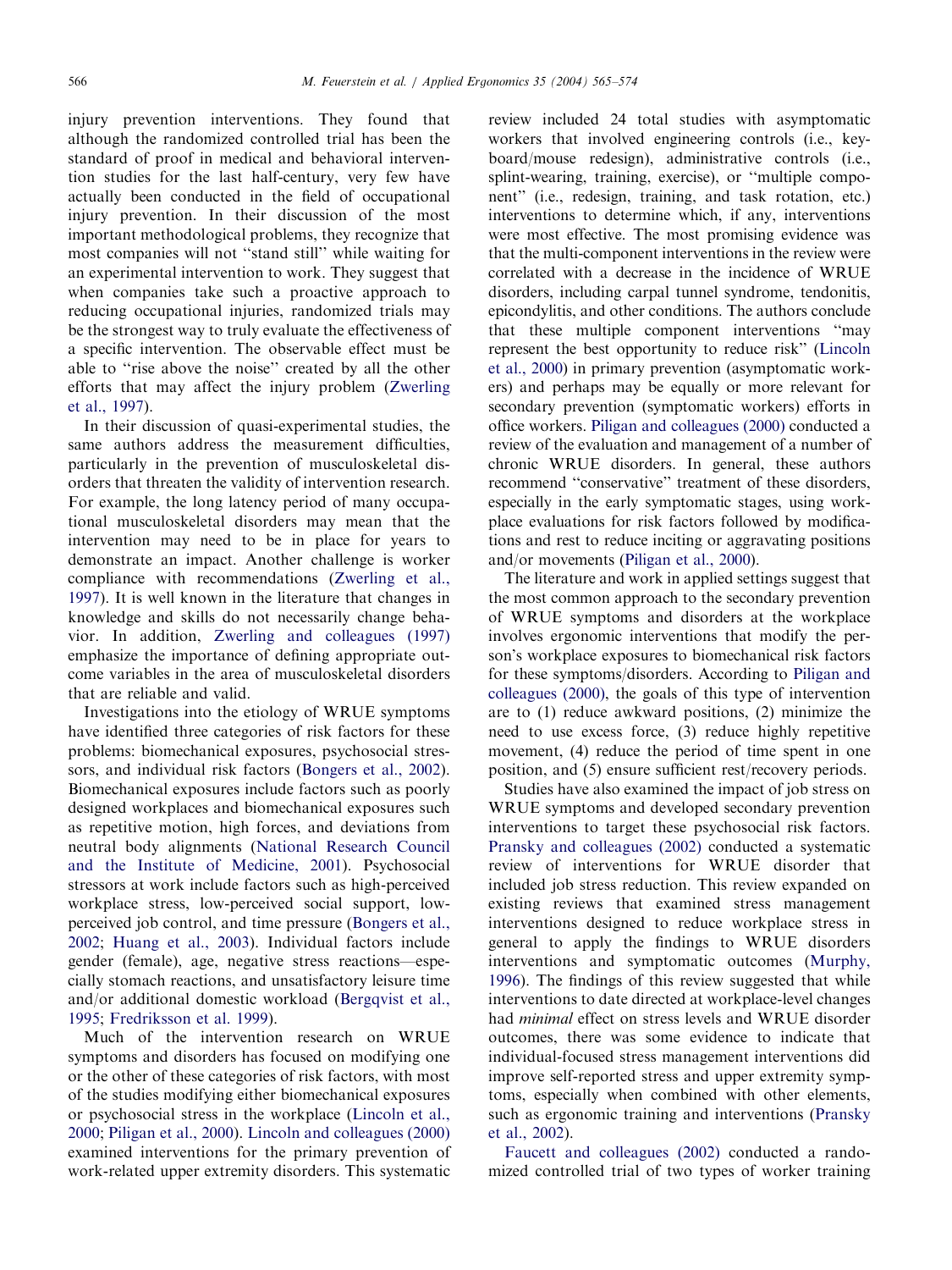injury prevention interventions. They found that although the randomized controlled trial has been the standard of proof in medical and behavioral intervention studies for the last half-century, very few have actually been conducted in the field of occupational injury prevention. In their discussion of the most important methodological problems, they recognize that most companies will not ''stand still'' while waiting for an experimental intervention to work. They suggest that when companies take such a proactive approach to reducing occupational injuries, randomized trials may be the strongest way to truly evaluate the effectiveness of a specific intervention. The observable effect must be able to ''rise above the noise'' created by all the other efforts that may affect the injury problem ([Zwerling](#page--1-0) [et al., 1997\)](#page--1-0).

In their discussion of quasi-experimental studies, the same authors address the measurement difficulties, particularly in the prevention of musculoskeletal disorders that threaten the validity of intervention research. For example, the long latency period of many occupational musculoskeletal disorders may mean that the intervention may need to be in place for years to demonstrate an impact. Another challenge is worker compliance with recommendations [\(Zwerling et al.,](#page--1-0) [1997](#page--1-0)). It is well known in the literature that changes in knowledge and skills do not necessarily change behavior. In addition, [Zwerling and colleagues \(1997\)](#page--1-0) emphasize the importance of defining appropriate outcome variables in the area of musculoskeletal disorders that are reliable and valid.

Investigations into the etiology of WRUE symptoms have identified three categories of risk factors for these problems: biomechanical exposures, psychosocial stres-sors, and individual risk factors ([Bongers et al., 2002\)](#page--1-0). Biomechanical exposures include factors such as poorly designed workplaces and biomechanical exposures such as repetitive motion, high forces, and deviations from neutral body alignments [\(National Research Council](#page--1-0) [and the Institute of Medicine, 2001](#page--1-0)). Psychosocial stressors at work include factors such as high-perceived workplace stress, low-perceived social support, lowperceived job control, and time pressure [\(Bongers et al.,](#page--1-0) [2002](#page--1-0); [Huang et al., 2003](#page--1-0)). Individual factors include gender (female), age, negative stress reactions—especially stomach reactions, and unsatisfactory leisure time and/or additional domestic workload ([Bergqvist et al.,](#page--1-0) [1995](#page--1-0); [Fredriksson et al. 1999\)](#page--1-0).

Much of the intervention research on WRUE symptoms and disorders has focused on modifying one or the other of these categories of risk factors, with most of the studies modifying either biomechanical exposures or psychosocial stress in the workplace [\(Lincoln et al.,](#page--1-0) [2000](#page--1-0); [Piligan et al., 2000](#page--1-0)). [Lincoln and colleagues \(2000\)](#page--1-0) examined interventions for the primary prevention of work-related upper extremity disorders. This systematic

review included 24 total studies with asymptomatic workers that involved engineering controls (i.e., keyboard/mouse redesign), administrative controls (i.e., splint-wearing, training, exercise), or ''multiple component" (i.e., redesign, training, and task rotation, etc.) interventions to determine which, if any, interventions were most effective. The most promising evidence was that the multi-component interventions in the review were correlated with a decrease in the incidence of WRUE disorders, including carpal tunnel syndrome, tendonitis, epicondylitis, and other conditions. The authors conclude that these multiple component interventions ''may represent the best opportunity to reduce risk'' [\(Lincoln](#page--1-0) [et al., 2000\)](#page--1-0) in primary prevention (asymptomatic workers) and perhaps may be equally or more relevant for secondary prevention (symptomatic workers) efforts in office workers. [Piligan and colleagues \(2000\)](#page--1-0) conducted a review of the evaluation and management of a number of chronic WRUE disorders. In general, these authors recommend ''conservative'' treatment of these disorders, especially in the early symptomatic stages, using workplace evaluations for risk factors followed by modifications and rest to reduce inciting or aggravating positions and/or movements ([Piligan et al., 2000](#page--1-0)).

The literature and work in applied settings suggest that the most common approach to the secondary prevention of WRUE symptoms and disorders at the workplace involves ergonomic interventions that modify the person's workplace exposures to biomechanical risk factors for these symptoms/disorders. According to [Piligan and](#page--1-0) [colleagues \(2000\)](#page--1-0), the goals of this type of intervention are to (1) reduce awkward positions, (2) minimize the need to use excess force, (3) reduce highly repetitive movement, (4) reduce the period of time spent in one position, and (5) ensure sufficient rest/recovery periods.

Studies have also examined the impact of job stress on WRUE symptoms and developed secondary prevention interventions to target these psychosocial risk factors. [Pransky and colleagues \(2002\)](#page--1-0) conducted a systematic review of interventions for WRUE disorder that included job stress reduction. This review expanded on existing reviews that examined stress management interventions designed to reduce workplace stress in general to apply the findings to WRUE disorders interventions and symptomatic outcomes ([Murphy,](#page--1-0) [1996](#page--1-0)). The findings of this review suggested that while interventions to date directed at workplace-level changes had minimal effect on stress levels and WRUE disorder outcomes, there was some evidence to indicate that individual-focused stress management interventions did improve self-reported stress and upper extremity symptoms, especially when combined with other elements, such as ergonomic training and interventions ([Pransky](#page--1-0) [et al., 2002\)](#page--1-0).

[Faucett and colleagues \(2002\)](#page--1-0) conducted a randomized controlled trial of two types of worker training